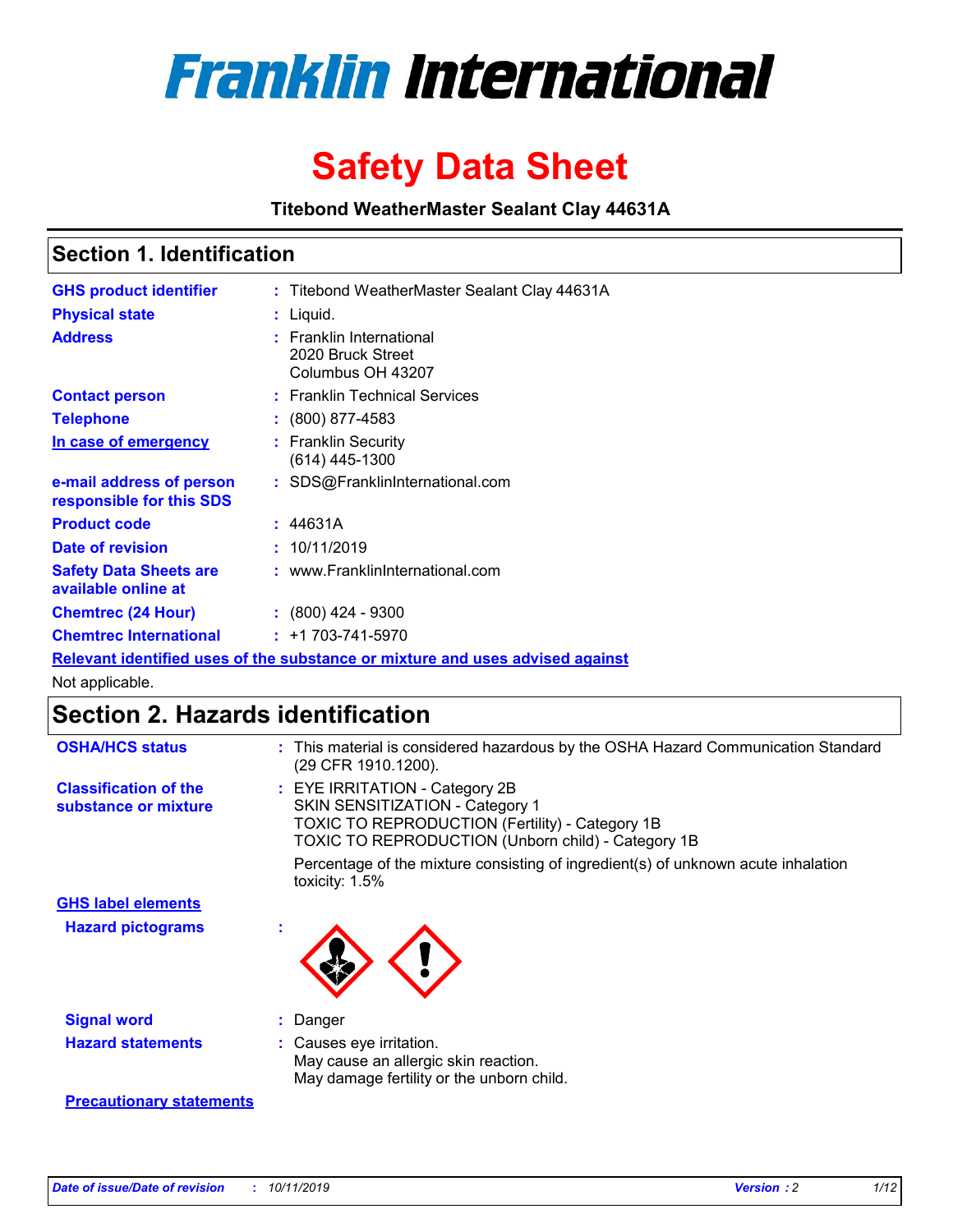

# **Safety Data Sheet**

**Titebond WeatherMaster Sealant Clay 44631A**

### **Section 1. Identification**

| <b>GHS product identifier</b>                        | : Titebond WeatherMaster Sealant Clay 44631A                                  |
|------------------------------------------------------|-------------------------------------------------------------------------------|
| <b>Physical state</b>                                | : Liquid.                                                                     |
| <b>Address</b>                                       | : Franklin International<br>2020 Bruck Street<br>Columbus OH 43207            |
| <b>Contact person</b>                                | : Franklin Technical Services                                                 |
| <b>Telephone</b>                                     | $\colon$ (800) 877-4583                                                       |
| In case of emergency                                 | : Franklin Security<br>(614) 445-1300                                         |
| e-mail address of person<br>responsible for this SDS | : SDS@FranklinInternational.com                                               |
| <b>Product code</b>                                  | : 44631A                                                                      |
| Date of revision                                     | : 10/11/2019                                                                  |
| <b>Safety Data Sheets are</b><br>available online at | : www.FranklinInternational.com                                               |
| <b>Chemtrec (24 Hour)</b>                            | $\div$ (800) 424 - 9300                                                       |
| <b>Chemtrec International</b>                        | $: +1703 - 741 - 5970$                                                        |
|                                                      | Relevant identified uses of the substance or mixture and uses advised against |

Not applicable.

# **Section 2. Hazards identification**

| <b>OSHA/HCS status</b>                               | : This material is considered hazardous by the OSHA Hazard Communication Standard<br>(29 CFR 1910.1200).                                                                                 |
|------------------------------------------------------|------------------------------------------------------------------------------------------------------------------------------------------------------------------------------------------|
| <b>Classification of the</b><br>substance or mixture | : EYE IRRITATION - Category 2B<br>SKIN SENSITIZATION - Category 1<br><b>TOXIC TO REPRODUCTION (Fertility) - Category 1B</b><br><b>TOXIC TO REPRODUCTION (Unborn child) - Category 1B</b> |
|                                                      | Percentage of the mixture consisting of ingredient(s) of unknown acute inhalation<br>toxicity: $1.5\%$                                                                                   |
| <b>GHS label elements</b>                            |                                                                                                                                                                                          |
| <b>Hazard pictograms</b>                             |                                                                                                                                                                                          |
| <b>Signal word</b>                                   | : Danger                                                                                                                                                                                 |
| <b>Hazard statements</b>                             | : Causes eye irritation.<br>May cause an allergic skin reaction.<br>May damage fertility or the unborn child.                                                                            |
| <b>Precautionary statements</b>                      |                                                                                                                                                                                          |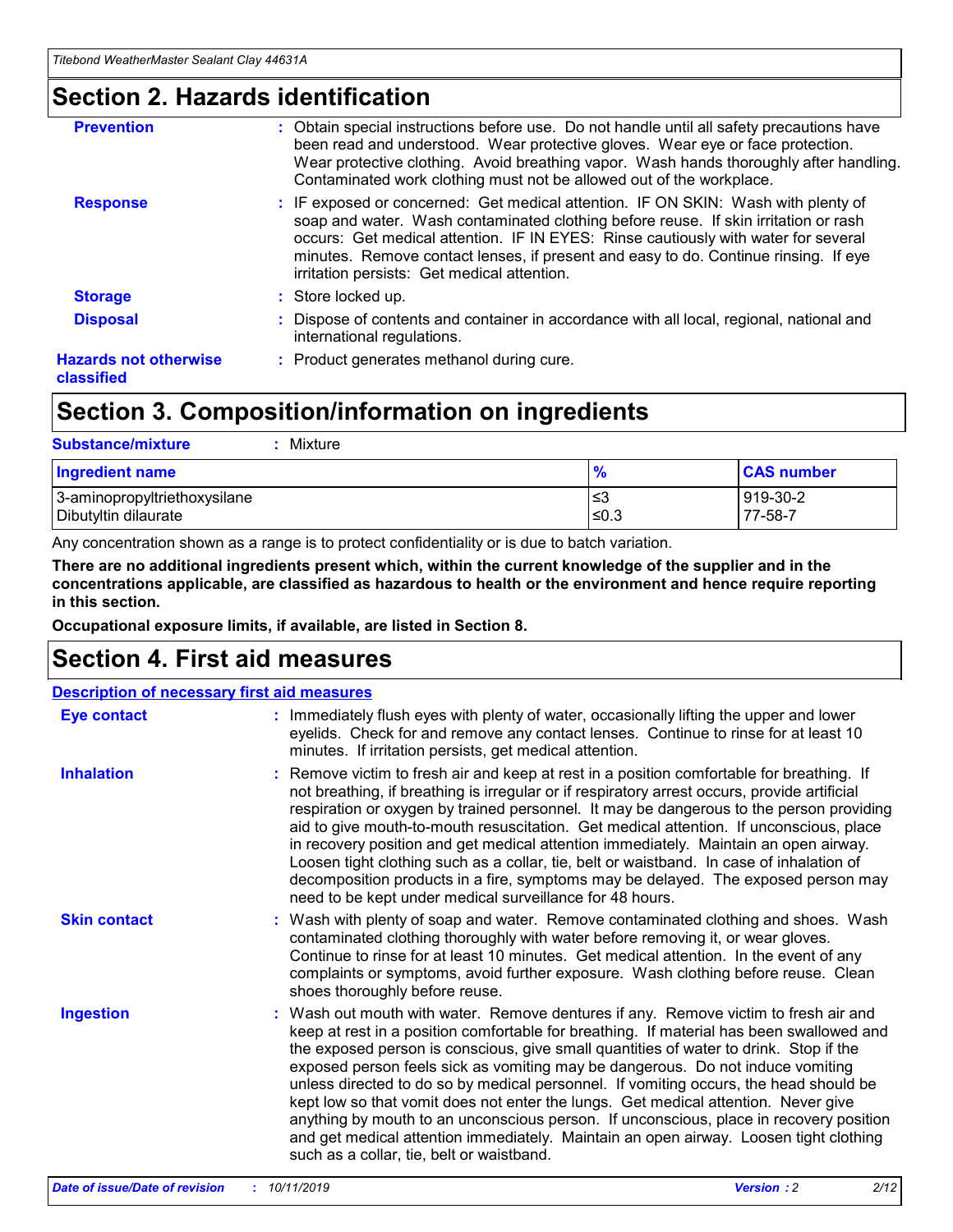### **Section 2. Hazards identification**

| <b>Prevention</b>                          | : Obtain special instructions before use. Do not handle until all safety precautions have<br>been read and understood. Wear protective gloves. Wear eye or face protection.<br>Wear protective clothing. Avoid breathing vapor. Wash hands thoroughly after handling.<br>Contaminated work clothing must not be allowed out of the workplace.                                                        |
|--------------------------------------------|------------------------------------------------------------------------------------------------------------------------------------------------------------------------------------------------------------------------------------------------------------------------------------------------------------------------------------------------------------------------------------------------------|
| <b>Response</b>                            | : IF exposed or concerned: Get medical attention. IF ON SKIN: Wash with plenty of<br>soap and water. Wash contaminated clothing before reuse. If skin irritation or rash<br>occurs: Get medical attention. IF IN EYES: Rinse cautiously with water for several<br>minutes. Remove contact lenses, if present and easy to do. Continue rinsing. If eye<br>irritation persists: Get medical attention. |
| <b>Storage</b>                             | : Store locked up.                                                                                                                                                                                                                                                                                                                                                                                   |
| <b>Disposal</b>                            | : Dispose of contents and container in accordance with all local, regional, national and<br>international regulations.                                                                                                                                                                                                                                                                               |
| <b>Hazards not otherwise</b><br>classified | : Product generates methanol during cure.                                                                                                                                                                                                                                                                                                                                                            |
|                                            |                                                                                                                                                                                                                                                                                                                                                                                                      |

### **Section 3. Composition/information on ingredients**

| <b>Substance/mixture</b><br>: Mixture                |               |                     |
|------------------------------------------------------|---------------|---------------------|
| Ingredient name                                      | $\frac{9}{6}$ | <b>CAS number</b>   |
| 3-aminopropyltriethoxysilane<br>Dibutyltin dilaurate | צ≥<br>≤0.3    | 919-30-2<br>77-58-7 |

Any concentration shown as a range is to protect confidentiality or is due to batch variation.

**There are no additional ingredients present which, within the current knowledge of the supplier and in the concentrations applicable, are classified as hazardous to health or the environment and hence require reporting in this section.**

**Occupational exposure limits, if available, are listed in Section 8.**

### **Section 4. First aid measures**

| <b>Description of necessary first aid measures</b> |                                                                                                                                                                                                                                                                                                                                                                                                                                                                                                                                                                                                                                                                                                                                                                           |  |  |  |
|----------------------------------------------------|---------------------------------------------------------------------------------------------------------------------------------------------------------------------------------------------------------------------------------------------------------------------------------------------------------------------------------------------------------------------------------------------------------------------------------------------------------------------------------------------------------------------------------------------------------------------------------------------------------------------------------------------------------------------------------------------------------------------------------------------------------------------------|--|--|--|
| <b>Eye contact</b>                                 | : Immediately flush eyes with plenty of water, occasionally lifting the upper and lower<br>eyelids. Check for and remove any contact lenses. Continue to rinse for at least 10<br>minutes. If irritation persists, get medical attention.                                                                                                                                                                                                                                                                                                                                                                                                                                                                                                                                 |  |  |  |
| <b>Inhalation</b>                                  | : Remove victim to fresh air and keep at rest in a position comfortable for breathing. If<br>not breathing, if breathing is irregular or if respiratory arrest occurs, provide artificial<br>respiration or oxygen by trained personnel. It may be dangerous to the person providing<br>aid to give mouth-to-mouth resuscitation. Get medical attention. If unconscious, place<br>in recovery position and get medical attention immediately. Maintain an open airway.<br>Loosen tight clothing such as a collar, tie, belt or waistband. In case of inhalation of<br>decomposition products in a fire, symptoms may be delayed. The exposed person may<br>need to be kept under medical surveillance for 48 hours.                                                       |  |  |  |
| <b>Skin contact</b>                                | : Wash with plenty of soap and water. Remove contaminated clothing and shoes. Wash<br>contaminated clothing thoroughly with water before removing it, or wear gloves.<br>Continue to rinse for at least 10 minutes. Get medical attention. In the event of any<br>complaints or symptoms, avoid further exposure. Wash clothing before reuse. Clean<br>shoes thoroughly before reuse.                                                                                                                                                                                                                                                                                                                                                                                     |  |  |  |
| <b>Ingestion</b>                                   | : Wash out mouth with water. Remove dentures if any. Remove victim to fresh air and<br>keep at rest in a position comfortable for breathing. If material has been swallowed and<br>the exposed person is conscious, give small quantities of water to drink. Stop if the<br>exposed person feels sick as vomiting may be dangerous. Do not induce vomiting<br>unless directed to do so by medical personnel. If vomiting occurs, the head should be<br>kept low so that vomit does not enter the lungs. Get medical attention. Never give<br>anything by mouth to an unconscious person. If unconscious, place in recovery position<br>and get medical attention immediately. Maintain an open airway. Loosen tight clothing<br>such as a collar, tie, belt or waistband. |  |  |  |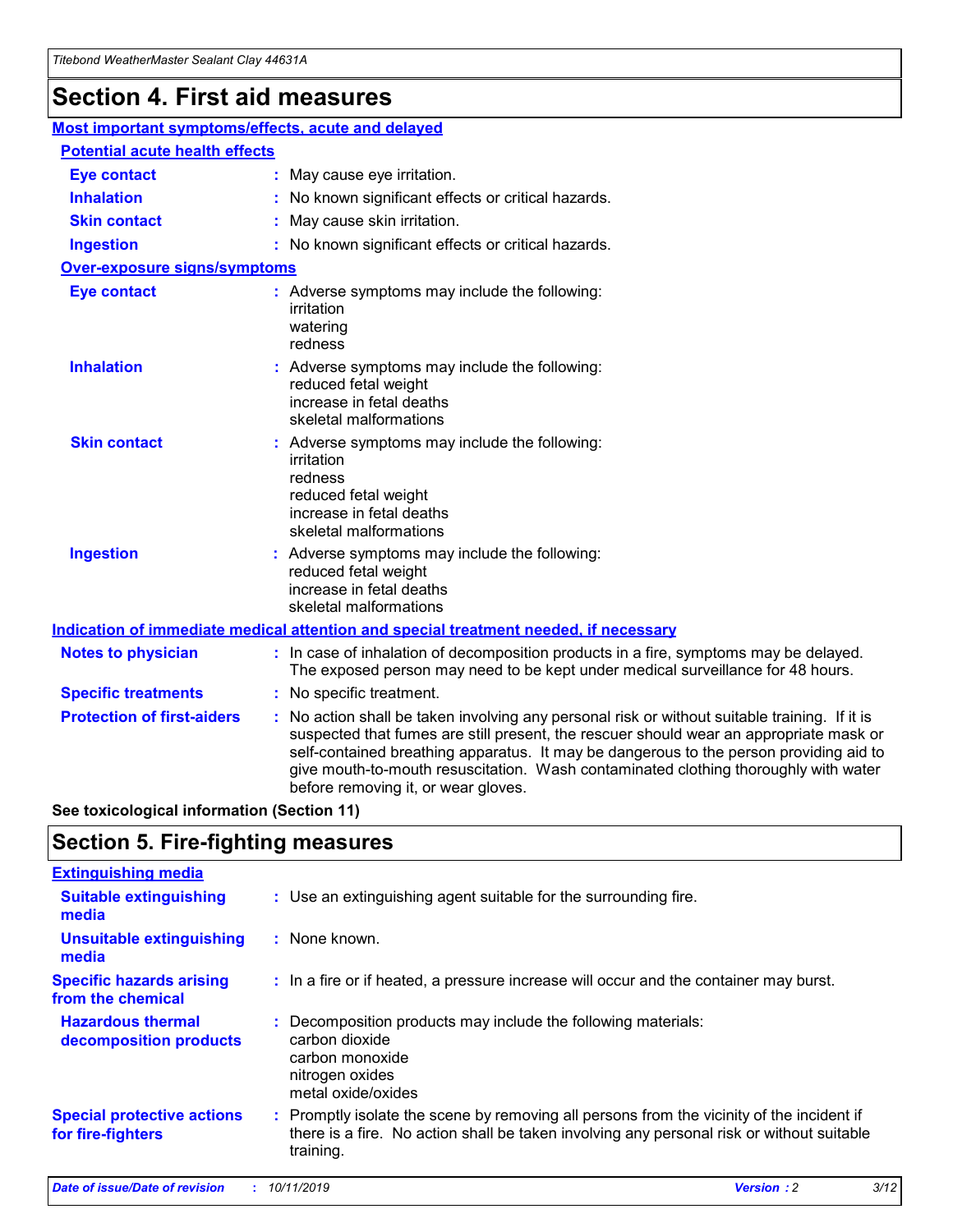# **Section 4. First aid measures**

| Most important symptoms/effects, acute and delayed |                                       |                                                                                                                                                                                                                                                                                                                                                                                                                 |  |  |  |
|----------------------------------------------------|---------------------------------------|-----------------------------------------------------------------------------------------------------------------------------------------------------------------------------------------------------------------------------------------------------------------------------------------------------------------------------------------------------------------------------------------------------------------|--|--|--|
|                                                    | <b>Potential acute health effects</b> |                                                                                                                                                                                                                                                                                                                                                                                                                 |  |  |  |
| <b>Eye contact</b>                                 |                                       | : May cause eye irritation.                                                                                                                                                                                                                                                                                                                                                                                     |  |  |  |
| <b>Inhalation</b>                                  |                                       | : No known significant effects or critical hazards.                                                                                                                                                                                                                                                                                                                                                             |  |  |  |
| <b>Skin contact</b>                                |                                       | : May cause skin irritation.                                                                                                                                                                                                                                                                                                                                                                                    |  |  |  |
| <b>Ingestion</b>                                   |                                       | : No known significant effects or critical hazards.                                                                                                                                                                                                                                                                                                                                                             |  |  |  |
| Over-exposure signs/symptoms                       |                                       |                                                                                                                                                                                                                                                                                                                                                                                                                 |  |  |  |
| <b>Eye contact</b>                                 |                                       | : Adverse symptoms may include the following:<br>irritation<br>watering<br>redness                                                                                                                                                                                                                                                                                                                              |  |  |  |
| <b>Inhalation</b>                                  |                                       | : Adverse symptoms may include the following:<br>reduced fetal weight<br>increase in fetal deaths<br>skeletal malformations                                                                                                                                                                                                                                                                                     |  |  |  |
| <b>Skin contact</b>                                |                                       | : Adverse symptoms may include the following:<br>irritation<br>redness<br>reduced fetal weight<br>increase in fetal deaths<br>skeletal malformations                                                                                                                                                                                                                                                            |  |  |  |
| <b>Ingestion</b>                                   |                                       | : Adverse symptoms may include the following:<br>reduced fetal weight<br>increase in fetal deaths<br>skeletal malformations                                                                                                                                                                                                                                                                                     |  |  |  |
|                                                    |                                       | <b>Indication of immediate medical attention and special treatment needed, if necessary</b>                                                                                                                                                                                                                                                                                                                     |  |  |  |
| <b>Notes to physician</b>                          |                                       | : In case of inhalation of decomposition products in a fire, symptoms may be delayed.<br>The exposed person may need to be kept under medical surveillance for 48 hours.                                                                                                                                                                                                                                        |  |  |  |
| <b>Specific treatments</b>                         |                                       | : No specific treatment.                                                                                                                                                                                                                                                                                                                                                                                        |  |  |  |
| <b>Protection of first-aiders</b>                  |                                       | : No action shall be taken involving any personal risk or without suitable training. If it is<br>suspected that fumes are still present, the rescuer should wear an appropriate mask or<br>self-contained breathing apparatus. It may be dangerous to the person providing aid to<br>give mouth-to-mouth resuscitation. Wash contaminated clothing thoroughly with water<br>before removing it, or wear gloves. |  |  |  |

**See toxicological information (Section 11)**

### **Section 5. Fire-fighting measures**

| <b>Extinguishing media</b>                             |                                                                                                                                                                                                     |
|--------------------------------------------------------|-----------------------------------------------------------------------------------------------------------------------------------------------------------------------------------------------------|
| <b>Suitable extinguishing</b><br>media                 | : Use an extinguishing agent suitable for the surrounding fire.                                                                                                                                     |
| <b>Unsuitable extinguishing</b><br>media               | : None known.                                                                                                                                                                                       |
| <b>Specific hazards arising</b><br>from the chemical   | : In a fire or if heated, a pressure increase will occur and the container may burst.                                                                                                               |
| <b>Hazardous thermal</b><br>decomposition products     | : Decomposition products may include the following materials:<br>carbon dioxide<br>carbon monoxide<br>nitrogen oxides<br>metal oxide/oxides                                                         |
| <b>Special protective actions</b><br>for fire-fighters | : Promptly isolate the scene by removing all persons from the vicinity of the incident if<br>there is a fire. No action shall be taken involving any personal risk or without suitable<br>training. |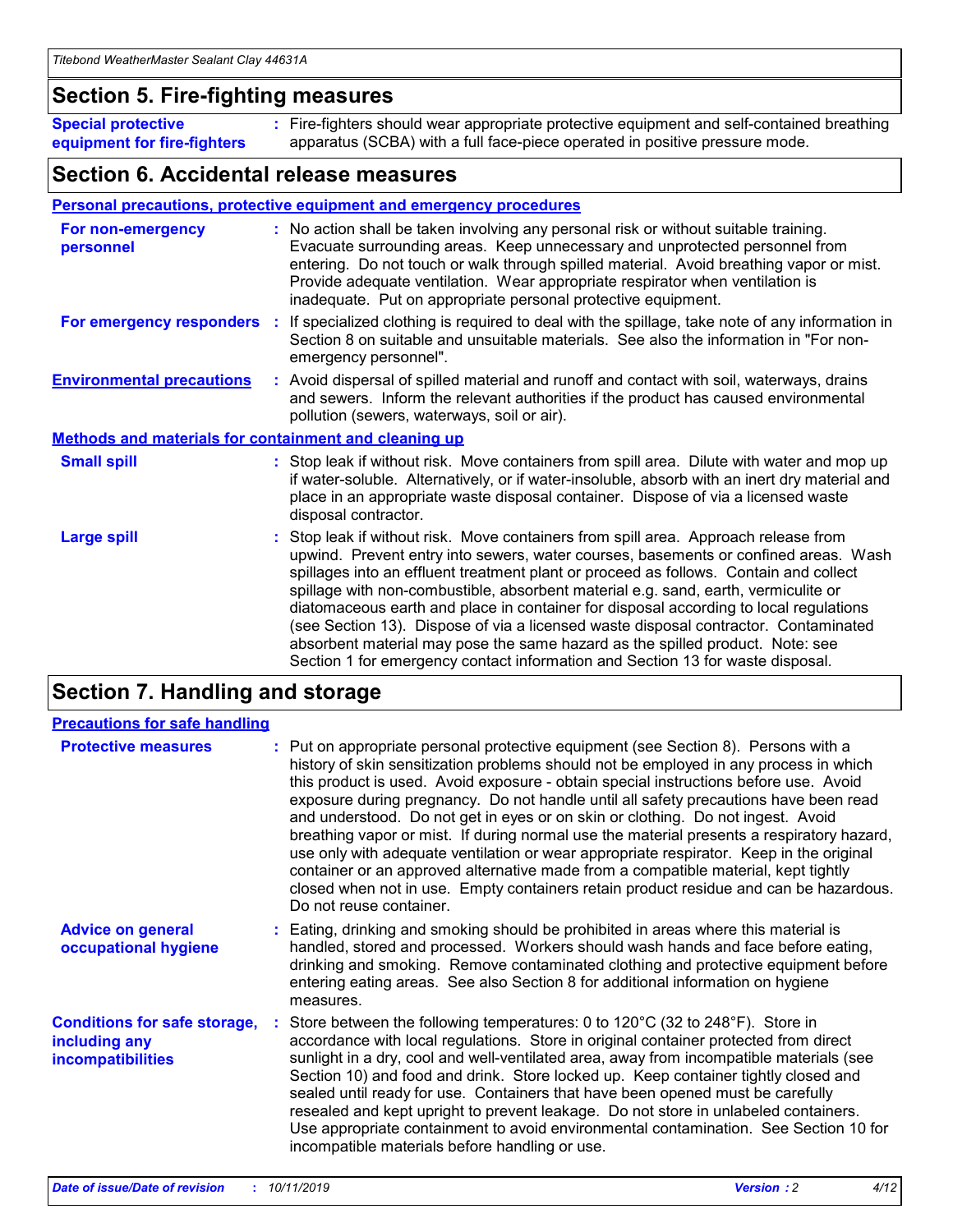### **Section 5. Fire-fighting measures**

**Special protective equipment for fire-fighters** Fire-fighters should wear appropriate protective equipment and self-contained breathing **:** apparatus (SCBA) with a full face-piece operated in positive pressure mode.

### **Section 6. Accidental release measures**

#### **Personal precautions, protective equipment and emergency procedures**

| For non-emergency<br>personnel                               | : No action shall be taken involving any personal risk or without suitable training.<br>Evacuate surrounding areas. Keep unnecessary and unprotected personnel from<br>entering. Do not touch or walk through spilled material. Avoid breathing vapor or mist.<br>Provide adequate ventilation. Wear appropriate respirator when ventilation is<br>inadequate. Put on appropriate personal protective equipment.                                                                                                                                                                                                                                                                                             |
|--------------------------------------------------------------|--------------------------------------------------------------------------------------------------------------------------------------------------------------------------------------------------------------------------------------------------------------------------------------------------------------------------------------------------------------------------------------------------------------------------------------------------------------------------------------------------------------------------------------------------------------------------------------------------------------------------------------------------------------------------------------------------------------|
| For emergency responders                                     | : If specialized clothing is required to deal with the spillage, take note of any information in<br>Section 8 on suitable and unsuitable materials. See also the information in "For non-<br>emergency personnel".                                                                                                                                                                                                                                                                                                                                                                                                                                                                                           |
| <b>Environmental precautions</b>                             | : Avoid dispersal of spilled material and runoff and contact with soil, waterways, drains<br>and sewers. Inform the relevant authorities if the product has caused environmental<br>pollution (sewers, waterways, soil or air).                                                                                                                                                                                                                                                                                                                                                                                                                                                                              |
| <b>Methods and materials for containment and cleaning up</b> |                                                                                                                                                                                                                                                                                                                                                                                                                                                                                                                                                                                                                                                                                                              |
| <b>Small spill</b>                                           | : Stop leak if without risk. Move containers from spill area. Dilute with water and mop up<br>if water-soluble. Alternatively, or if water-insoluble, absorb with an inert dry material and<br>place in an appropriate waste disposal container. Dispose of via a licensed waste<br>disposal contractor.                                                                                                                                                                                                                                                                                                                                                                                                     |
| <b>Large spill</b>                                           | : Stop leak if without risk. Move containers from spill area. Approach release from<br>upwind. Prevent entry into sewers, water courses, basements or confined areas. Wash<br>spillages into an effluent treatment plant or proceed as follows. Contain and collect<br>spillage with non-combustible, absorbent material e.g. sand, earth, vermiculite or<br>diatomaceous earth and place in container for disposal according to local regulations<br>(see Section 13). Dispose of via a licensed waste disposal contractor. Contaminated<br>absorbent material may pose the same hazard as the spilled product. Note: see<br>Section 1 for emergency contact information and Section 13 for waste disposal. |

### **Section 7. Handling and storage**

| <b>Precautions for safe handling</b>                                             |                                                                                                                                                                                                                                                                                                                                                                                                                                                                                                                                                                                                                                                                                                                                                                                                                                                  |
|----------------------------------------------------------------------------------|--------------------------------------------------------------------------------------------------------------------------------------------------------------------------------------------------------------------------------------------------------------------------------------------------------------------------------------------------------------------------------------------------------------------------------------------------------------------------------------------------------------------------------------------------------------------------------------------------------------------------------------------------------------------------------------------------------------------------------------------------------------------------------------------------------------------------------------------------|
| <b>Protective measures</b>                                                       | : Put on appropriate personal protective equipment (see Section 8). Persons with a<br>history of skin sensitization problems should not be employed in any process in which<br>this product is used. Avoid exposure - obtain special instructions before use. Avoid<br>exposure during pregnancy. Do not handle until all safety precautions have been read<br>and understood. Do not get in eyes or on skin or clothing. Do not ingest. Avoid<br>breathing vapor or mist. If during normal use the material presents a respiratory hazard,<br>use only with adequate ventilation or wear appropriate respirator. Keep in the original<br>container or an approved alternative made from a compatible material, kept tightly<br>closed when not in use. Empty containers retain product residue and can be hazardous.<br>Do not reuse container. |
| <b>Advice on general</b><br>occupational hygiene                                 | : Eating, drinking and smoking should be prohibited in areas where this material is<br>handled, stored and processed. Workers should wash hands and face before eating,<br>drinking and smoking. Remove contaminated clothing and protective equipment before<br>entering eating areas. See also Section 8 for additional information on hygiene<br>measures.                                                                                                                                                                                                                                                                                                                                                                                                                                                                                    |
| <b>Conditions for safe storage,</b><br>including any<br><b>incompatibilities</b> | Store between the following temperatures: 0 to 120°C (32 to 248°F). Store in<br>accordance with local regulations. Store in original container protected from direct<br>sunlight in a dry, cool and well-ventilated area, away from incompatible materials (see<br>Section 10) and food and drink. Store locked up. Keep container tightly closed and<br>sealed until ready for use. Containers that have been opened must be carefully<br>resealed and kept upright to prevent leakage. Do not store in unlabeled containers.<br>Use appropriate containment to avoid environmental contamination. See Section 10 for<br>incompatible materials before handling or use.                                                                                                                                                                         |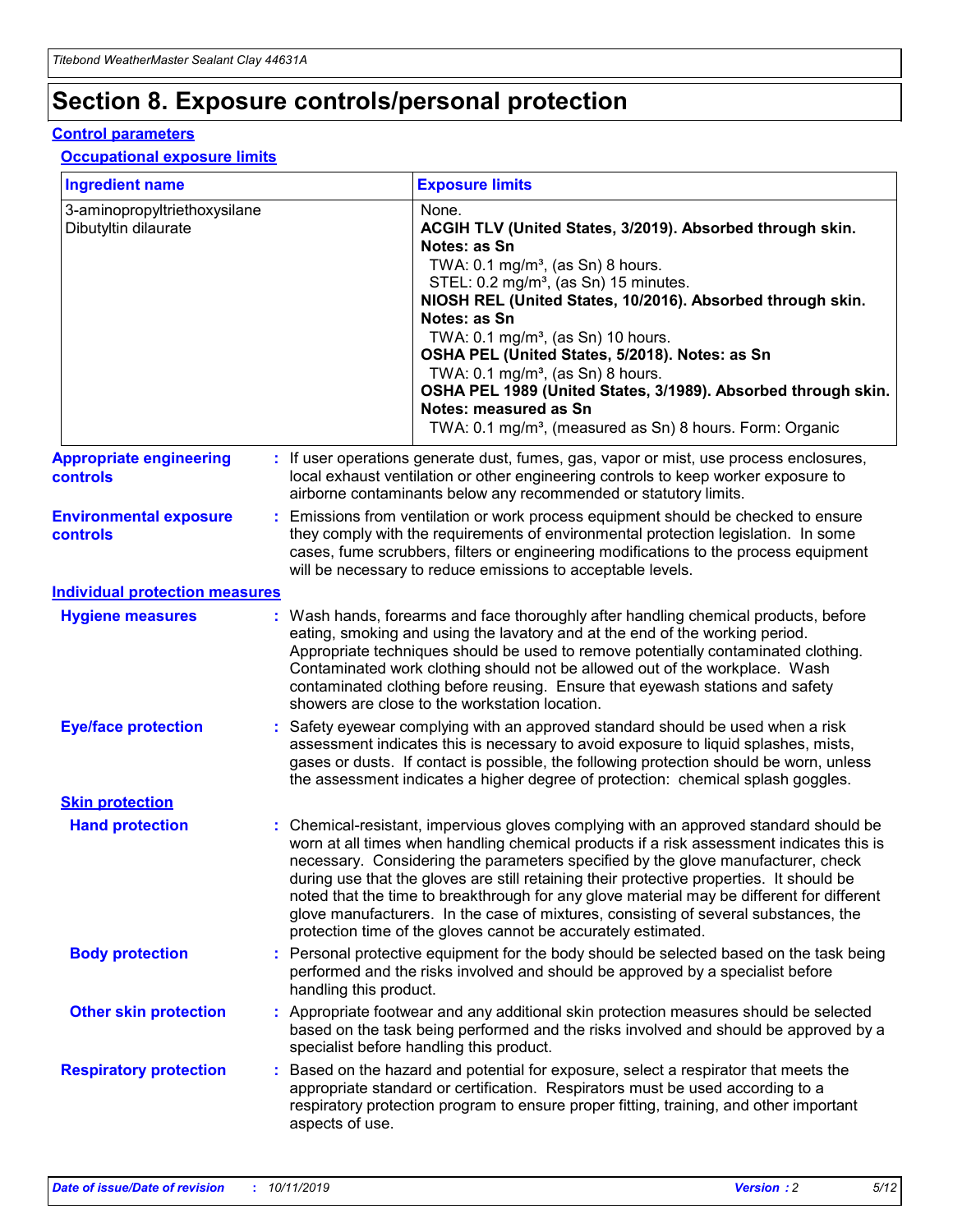# **Section 8. Exposure controls/personal protection**

#### **Control parameters**

#### **Occupational exposure limits**

| <b>Ingredient name</b>                               |    |                        | <b>Exposure limits</b>                                                                                                                                                                                                                                                                                                                                                                                                                                                                                                                                                                                                 |
|------------------------------------------------------|----|------------------------|------------------------------------------------------------------------------------------------------------------------------------------------------------------------------------------------------------------------------------------------------------------------------------------------------------------------------------------------------------------------------------------------------------------------------------------------------------------------------------------------------------------------------------------------------------------------------------------------------------------------|
| 3-aminopropyltriethoxysilane<br>Dibutyltin dilaurate |    |                        | None.<br>ACGIH TLV (United States, 3/2019). Absorbed through skin.<br>Notes: as Sn<br>TWA: $0.1 \text{ mg/m}^3$ , (as Sn) 8 hours.<br>STEL: 0.2 mg/m <sup>3</sup> , (as Sn) 15 minutes.<br>NIOSH REL (United States, 10/2016). Absorbed through skin.<br>Notes: as Sn<br>TWA: 0.1 mg/m <sup>3</sup> , (as Sn) 10 hours.<br>OSHA PEL (United States, 5/2018). Notes: as Sn<br>TWA: 0.1 mg/m <sup>3</sup> , (as Sn) 8 hours.<br>OSHA PEL 1989 (United States, 3/1989). Absorbed through skin.<br>Notes: measured as Sn<br>TWA: 0.1 mg/m <sup>3</sup> , (measured as Sn) 8 hours. Form: Organic                           |
| <b>Appropriate engineering</b><br>controls           |    |                        | : If user operations generate dust, fumes, gas, vapor or mist, use process enclosures,<br>local exhaust ventilation or other engineering controls to keep worker exposure to<br>airborne contaminants below any recommended or statutory limits.                                                                                                                                                                                                                                                                                                                                                                       |
| <b>Environmental exposure</b><br>controls            |    |                        | Emissions from ventilation or work process equipment should be checked to ensure<br>they comply with the requirements of environmental protection legislation. In some<br>cases, fume scrubbers, filters or engineering modifications to the process equipment<br>will be necessary to reduce emissions to acceptable levels.                                                                                                                                                                                                                                                                                          |
| <b>Individual protection measures</b>                |    |                        |                                                                                                                                                                                                                                                                                                                                                                                                                                                                                                                                                                                                                        |
| <b>Hygiene measures</b>                              |    |                        | : Wash hands, forearms and face thoroughly after handling chemical products, before<br>eating, smoking and using the lavatory and at the end of the working period.<br>Appropriate techniques should be used to remove potentially contaminated clothing.<br>Contaminated work clothing should not be allowed out of the workplace. Wash<br>contaminated clothing before reusing. Ensure that eyewash stations and safety<br>showers are close to the workstation location.                                                                                                                                            |
| <b>Eye/face protection</b>                           |    |                        | Safety eyewear complying with an approved standard should be used when a risk<br>assessment indicates this is necessary to avoid exposure to liquid splashes, mists,<br>gases or dusts. If contact is possible, the following protection should be worn, unless<br>the assessment indicates a higher degree of protection: chemical splash goggles.                                                                                                                                                                                                                                                                    |
| <b>Skin protection</b>                               |    |                        |                                                                                                                                                                                                                                                                                                                                                                                                                                                                                                                                                                                                                        |
| <b>Hand protection</b>                               |    |                        | : Chemical-resistant, impervious gloves complying with an approved standard should be<br>worn at all times when handling chemical products if a risk assessment indicates this is<br>necessary. Considering the parameters specified by the glove manufacturer, check<br>during use that the gloves are still retaining their protective properties. It should be<br>noted that the time to breakthrough for any glove material may be different for different<br>glove manufacturers. In the case of mixtures, consisting of several substances, the<br>protection time of the gloves cannot be accurately estimated. |
| <b>Body protection</b>                               |    | handling this product. | Personal protective equipment for the body should be selected based on the task being<br>performed and the risks involved and should be approved by a specialist before                                                                                                                                                                                                                                                                                                                                                                                                                                                |
| <b>Other skin protection</b>                         |    |                        | : Appropriate footwear and any additional skin protection measures should be selected<br>based on the task being performed and the risks involved and should be approved by a<br>specialist before handling this product.                                                                                                                                                                                                                                                                                                                                                                                              |
| <b>Respiratory protection</b>                        | ÷. | aspects of use.        | Based on the hazard and potential for exposure, select a respirator that meets the<br>appropriate standard or certification. Respirators must be used according to a<br>respiratory protection program to ensure proper fitting, training, and other important                                                                                                                                                                                                                                                                                                                                                         |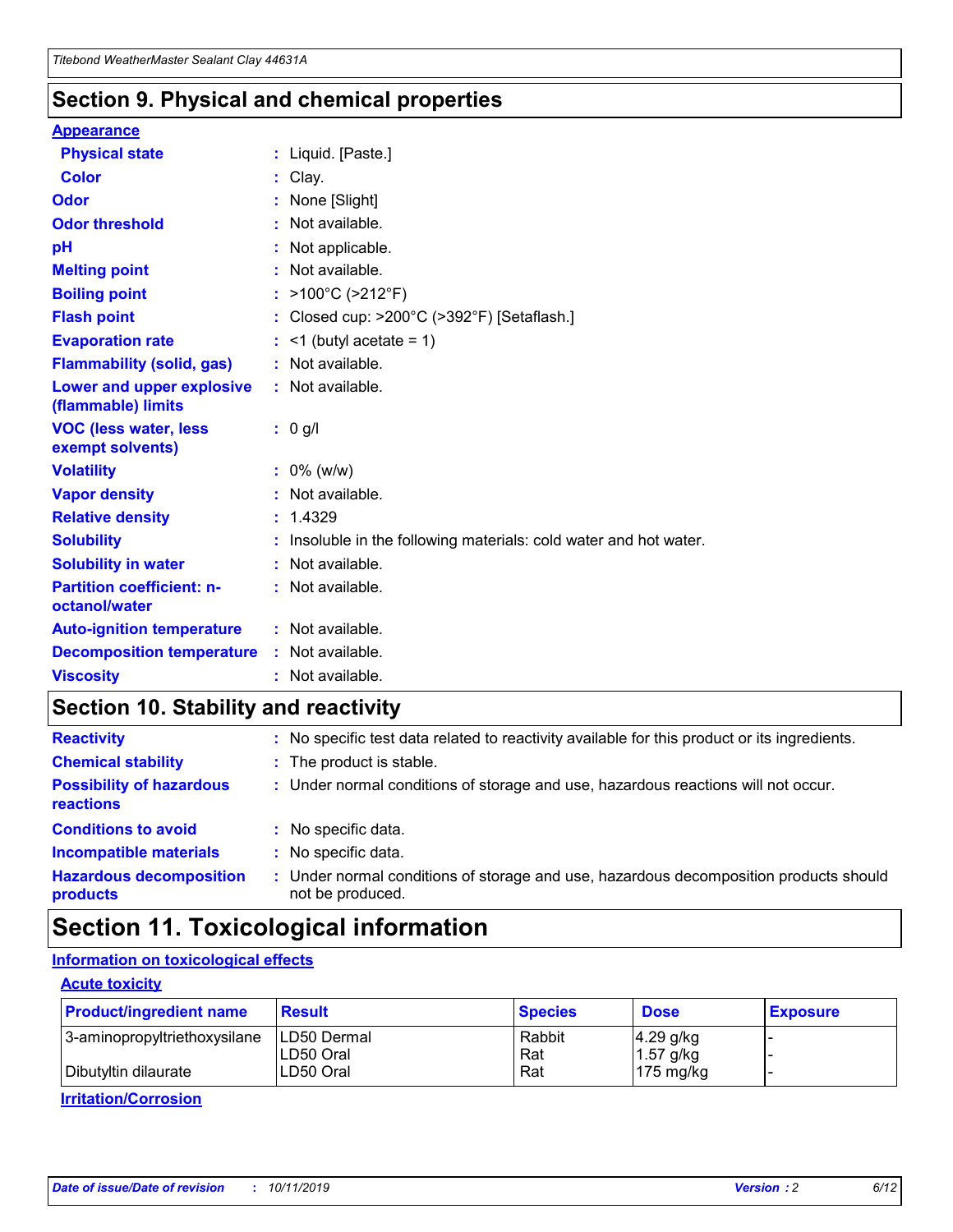### **Section 9. Physical and chemical properties**

#### **Appearance**

| <b>Physical state</b>                                  | : Liquid. [Paste.]                                              |
|--------------------------------------------------------|-----------------------------------------------------------------|
| <b>Color</b>                                           | Clay.                                                           |
| Odor                                                   | None [Slight]                                                   |
| <b>Odor threshold</b>                                  | $:$ Not available.                                              |
| рH                                                     | : Not applicable.                                               |
| <b>Melting point</b>                                   | : Not available.                                                |
| <b>Boiling point</b>                                   | : >100°C (>212°F)                                               |
| <b>Flash point</b>                                     | : Closed cup: >200°C (>392°F) [Setaflash.]                      |
| <b>Evaporation rate</b>                                | $:$ <1 (butyl acetate = 1)                                      |
| <b>Flammability (solid, gas)</b>                       | : Not available.                                                |
| <b>Lower and upper explosive</b><br>(flammable) limits | : Not available.                                                |
| <b>VOC (less water, less</b><br>exempt solvents)       | $: 0$ g/l                                                       |
| <b>Volatility</b>                                      | $: 0\%$ (w/w)                                                   |
| <b>Vapor density</b>                                   | : Not available.                                                |
| <b>Relative density</b>                                | : 1.4329                                                        |
| <b>Solubility</b>                                      | Insoluble in the following materials: cold water and hot water. |
| <b>Solubility in water</b>                             | : Not available.                                                |
| <b>Partition coefficient: n-</b><br>octanol/water      | : Not available.                                                |
| <b>Auto-ignition temperature</b>                       | : Not available.                                                |
| <b>Decomposition temperature</b>                       | : Not available.                                                |
| <b>Viscosity</b>                                       | : Not available.                                                |

### **Section 10. Stability and reactivity**

| <b>Reactivity</b>                            |    | : No specific test data related to reactivity available for this product or its ingredients.            |
|----------------------------------------------|----|---------------------------------------------------------------------------------------------------------|
| <b>Chemical stability</b>                    |    | : The product is stable.                                                                                |
| <b>Possibility of hazardous</b><br>reactions |    | : Under normal conditions of storage and use, hazardous reactions will not occur.                       |
| <b>Conditions to avoid</b>                   |    | : No specific data.                                                                                     |
| <b>Incompatible materials</b>                | ٠. | No specific data.                                                                                       |
| <b>Hazardous decomposition</b><br>products   | ÷. | Under normal conditions of storage and use, hazardous decomposition products should<br>not be produced. |

## **Section 11. Toxicological information**

### **Information on toxicological effects**

#### **Acute toxicity**

| <b>Product/ingredient name</b> | ∣Result∶                   | <b>Species</b> | <b>Dose</b>                | <b>Exposure</b> |
|--------------------------------|----------------------------|----------------|----------------------------|-----------------|
| 3-aminopropyltriethoxysilane   | ILD50 Dermal<br>ILD50 Oral | Rabbit<br>Rat  | $4.29$ g/kg<br>$1.57$ g/kg |                 |
| I Dibutyltin dilaurate         | LD50 Oral                  | Rat            | $175 \text{ mg/kg}$        |                 |

**Irritation/Corrosion**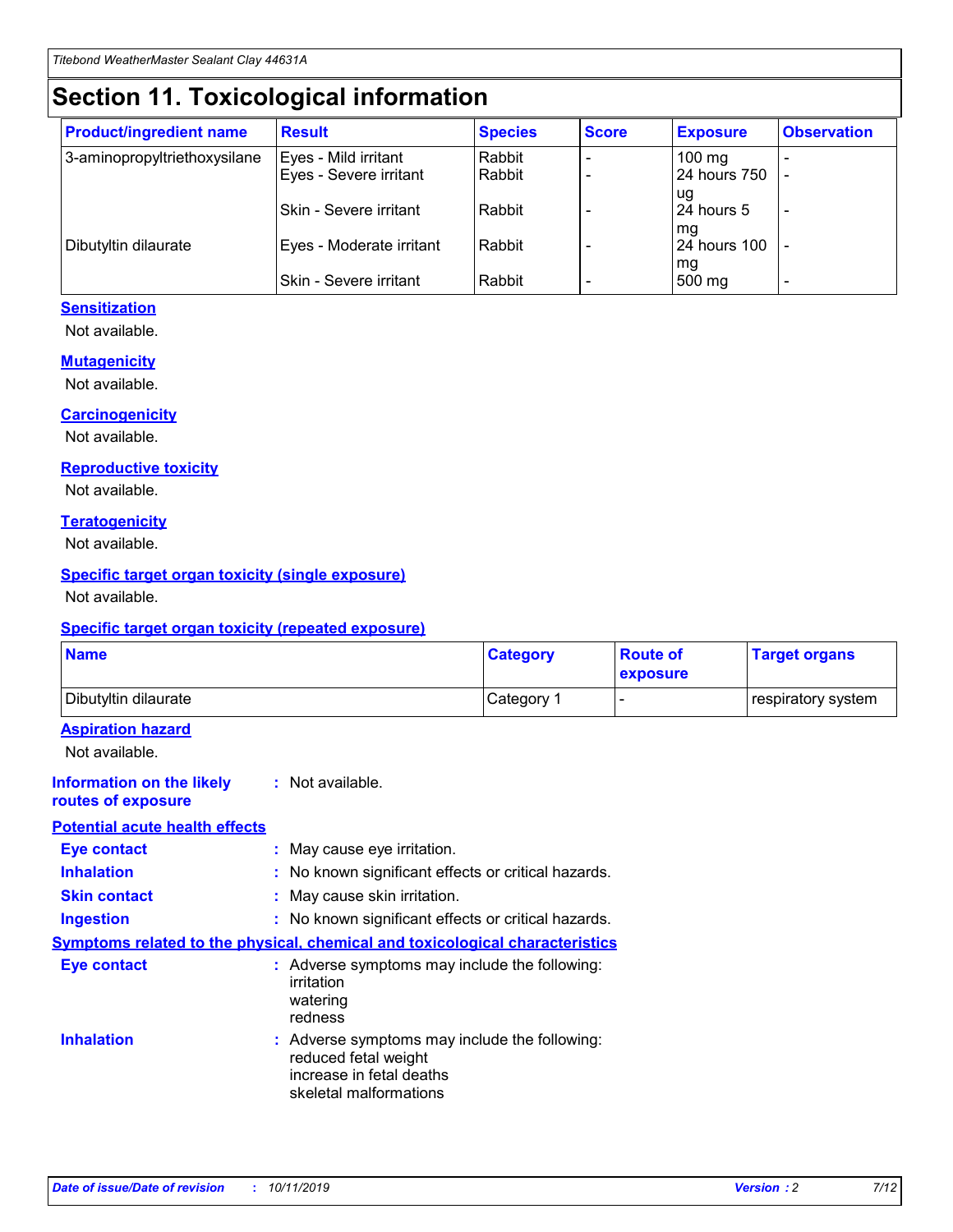# **Section 11. Toxicological information**

| <b>Product/ingredient name</b> | <b>Result</b>            | <b>Species</b> | <b>Score</b> | <b>Exposure</b>     | <b>Observation</b> |
|--------------------------------|--------------------------|----------------|--------------|---------------------|--------------------|
| 3-aminopropyltriethoxysilane   | Eyes - Mild irritant     | Rabbit         |              | $100 \text{ mg}$    |                    |
|                                | Eyes - Severe irritant   | Rabbit         |              | 24 hours 750        |                    |
|                                |                          |                |              | ug                  |                    |
|                                | Skin - Severe irritant   | Rabbit         |              | 24 hours 5          |                    |
|                                |                          |                |              | mq                  |                    |
| Dibutyltin dilaurate           | Eyes - Moderate irritant | Rabbit         |              | <b>24 hours 100</b> |                    |
|                                | Skin - Severe irritant   | Rabbit         |              | mg<br>500 mg        |                    |
|                                |                          |                |              |                     |                    |

#### **Sensitization**

Not available.

#### **Mutagenicity**

Not available.

#### **Carcinogenicity**

Not available.

#### **Reproductive toxicity**

Not available.

#### **Teratogenicity**

Not available.

#### **Specific target organ toxicity (single exposure)**

Not available.

#### **Specific target organ toxicity (repeated exposure)**

| <b>Name</b>                                                                         |                                                                            | <b>Category</b>                                     | <b>Route of</b><br>exposure | <b>Target organs</b> |
|-------------------------------------------------------------------------------------|----------------------------------------------------------------------------|-----------------------------------------------------|-----------------------------|----------------------|
| Dibutyltin dilaurate                                                                |                                                                            | Category 1                                          |                             | respiratory system   |
| <b>Aspiration hazard</b><br>Not available.                                          |                                                                            |                                                     |                             |                      |
| <b>Information on the likely</b><br>routes of exposure                              | : Not available.                                                           |                                                     |                             |                      |
| <b>Potential acute health effects</b>                                               |                                                                            |                                                     |                             |                      |
| <b>Eye contact</b>                                                                  | : May cause eye irritation.                                                |                                                     |                             |                      |
| <b>Inhalation</b>                                                                   |                                                                            | : No known significant effects or critical hazards. |                             |                      |
| <b>Skin contact</b>                                                                 | : May cause skin irritation.                                               |                                                     |                             |                      |
| <b>Ingestion</b>                                                                    |                                                                            | : No known significant effects or critical hazards. |                             |                      |
| <b>Symptoms related to the physical, chemical and toxicological characteristics</b> |                                                                            |                                                     |                             |                      |
| <b>Eye contact</b>                                                                  | irritation<br>watering<br>redness                                          | : Adverse symptoms may include the following:       |                             |                      |
| <b>Inhalation</b>                                                                   | reduced fetal weight<br>increase in fetal deaths<br>skeletal malformations | : Adverse symptoms may include the following:       |                             |                      |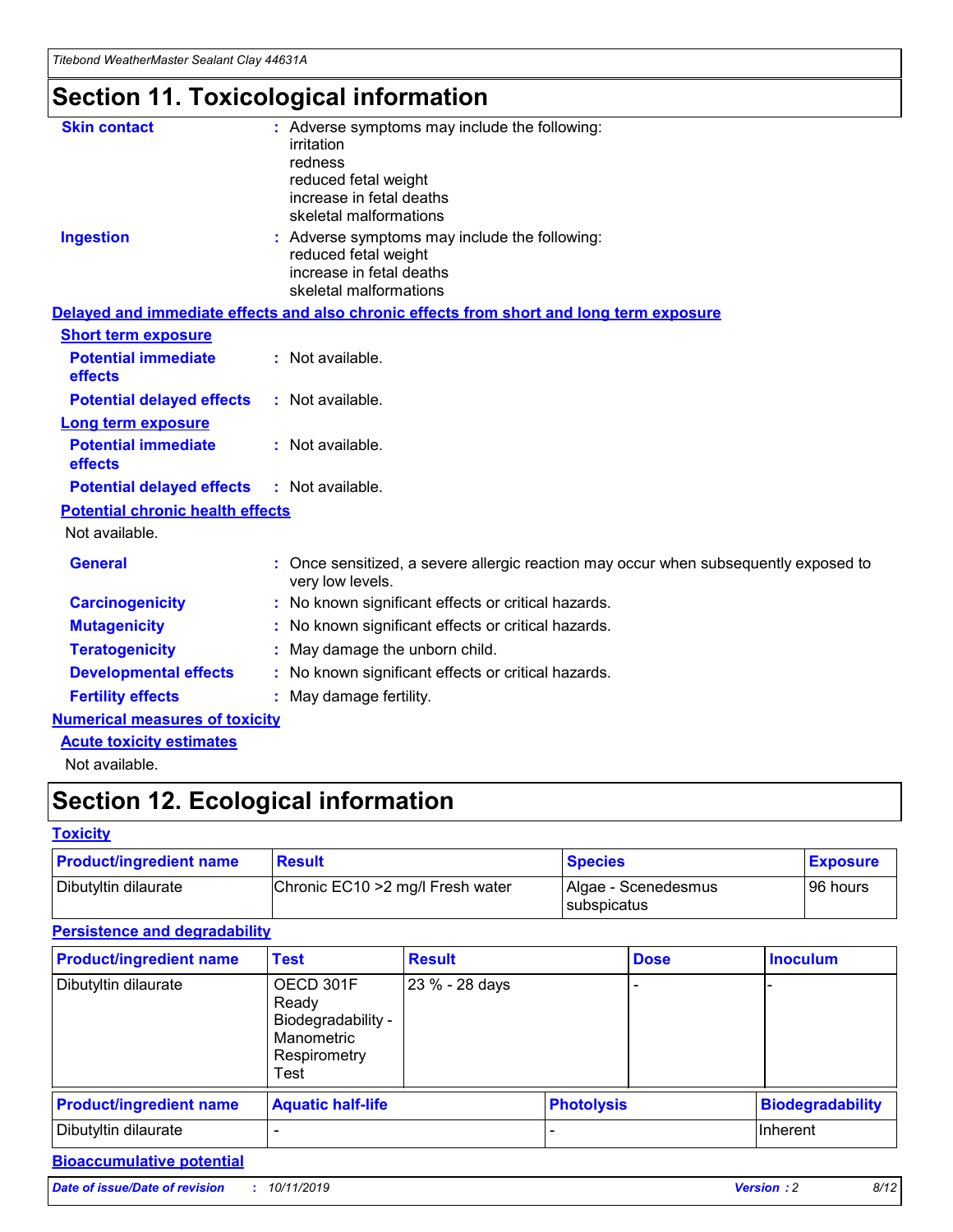# **Section 11. Toxicological information**

| <b>Skin contact</b>                     | : Adverse symptoms may include the following:<br>irritation<br>redness<br>reduced fetal weight<br>increase in fetal deaths<br>skeletal malformations |
|-----------------------------------------|------------------------------------------------------------------------------------------------------------------------------------------------------|
| <b>Ingestion</b>                        | : Adverse symptoms may include the following:<br>reduced fetal weight<br>increase in fetal deaths<br>skeletal malformations                          |
|                                         | Delayed and immediate effects and also chronic effects from short and long term exposure                                                             |
| <b>Short term exposure</b>              |                                                                                                                                                      |
| <b>Potential immediate</b><br>effects   | : Not available.                                                                                                                                     |
| <b>Potential delayed effects</b>        | : Not available.                                                                                                                                     |
| <b>Long term exposure</b>               |                                                                                                                                                      |
| <b>Potential immediate</b><br>effects   | : Not available.                                                                                                                                     |
| <b>Potential delayed effects</b>        | : Not available.                                                                                                                                     |
| <b>Potential chronic health effects</b> |                                                                                                                                                      |
| Not available.                          |                                                                                                                                                      |
| <b>General</b>                          | : Once sensitized, a severe allergic reaction may occur when subsequently exposed to<br>very low levels.                                             |
| <b>Carcinogenicity</b>                  | : No known significant effects or critical hazards.                                                                                                  |
| <b>Mutagenicity</b>                     | No known significant effects or critical hazards.                                                                                                    |
| <b>Teratogenicity</b>                   | May damage the unborn child.                                                                                                                         |
| <b>Developmental effects</b>            | : No known significant effects or critical hazards.                                                                                                  |
| <b>Fertility effects</b>                | : May damage fertility.                                                                                                                              |
| <b>Numerical measures of toxicity</b>   |                                                                                                                                                      |
| <b>Acute toxicity estimates</b>         |                                                                                                                                                      |
| .                                       |                                                                                                                                                      |

Not available.

# **Section 12. Ecological information**

#### **Toxicity**

| <b>Product/ingredient name</b> | <b>Result</b>                     | <b>Species</b>                       | <b>Exposure</b> |
|--------------------------------|-----------------------------------|--------------------------------------|-----------------|
| Dibutyltin dilaurate           | Chronic EC10 > 2 mg/l Fresh water | Algae - Scenedesmus<br>I subspicatus | l 96 hours      |

### **Persistence and degradability**

| <b>Product/ingredient name</b> | <b>Test</b>                                                                    | <b>Result</b>  |  | <b>Dose</b>       | <b>Inoculum</b>         |
|--------------------------------|--------------------------------------------------------------------------------|----------------|--|-------------------|-------------------------|
| Dibutyltin dilaurate           | OECD 301F<br>Ready<br>Biodegradability -<br>Manometric<br>Respirometry<br>Test | 23 % - 28 days |  |                   |                         |
| <b>Product/ingredient name</b> | <b>Aquatic half-life</b>                                                       |                |  | <b>Photolysis</b> | <b>Biodegradability</b> |
| Dibutyltin dilaurate           |                                                                                |                |  |                   | Inherent                |

### **Bioaccumulative potential**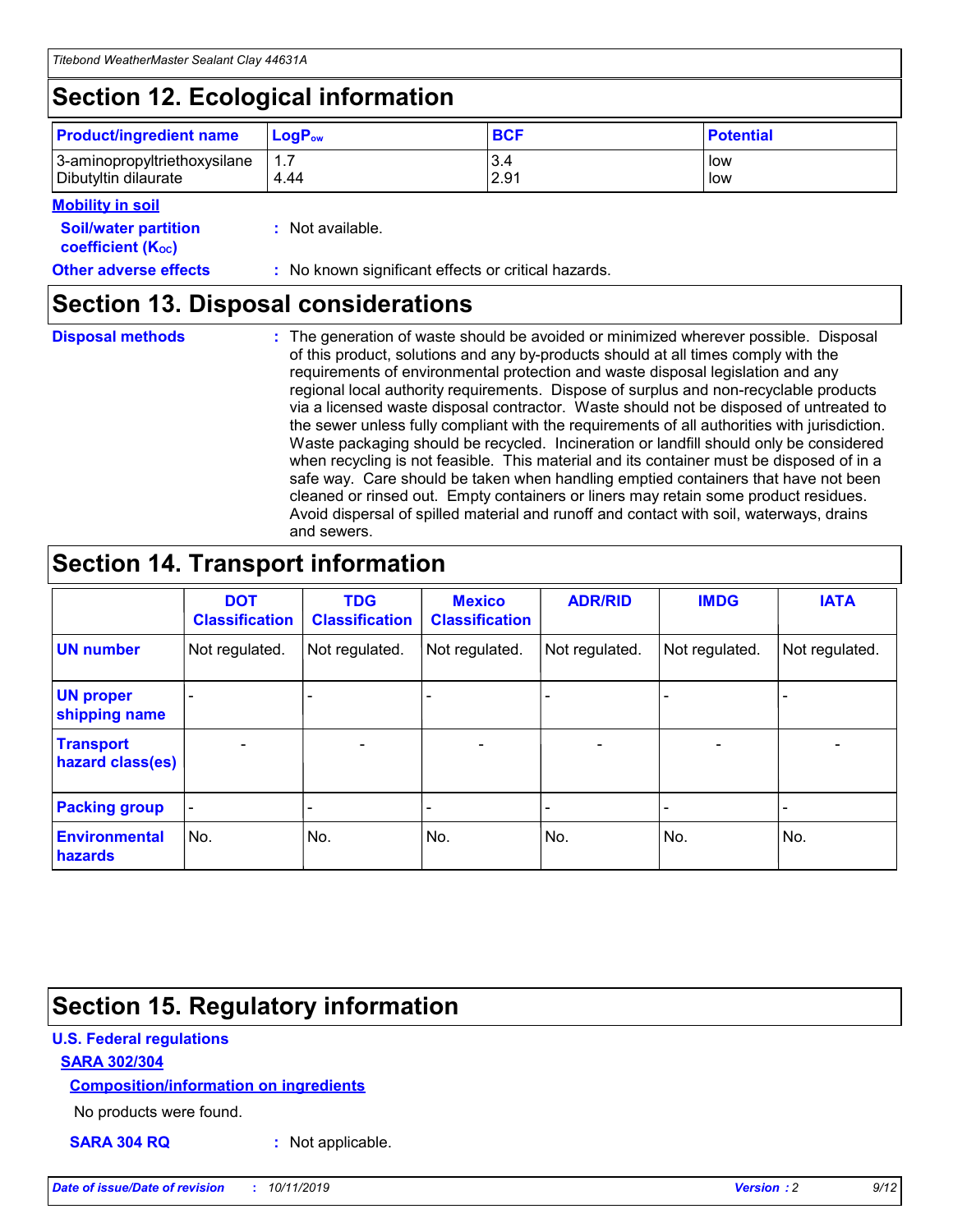# **Section 12. Ecological information**

| <b>Product/ingredient name</b>                       | ∣LoqP <sub>ow</sub> | <b>BCF</b>  | <b>Potential</b> |
|------------------------------------------------------|---------------------|-------------|------------------|
| 3-aminopropyltriethoxysilane<br>Dibutyltin dilaurate | 4.44                | 3.4<br>2.91 | low<br>low       |

#### **Mobility in soil**

| <i></i>                                                       |                                                     |
|---------------------------------------------------------------|-----------------------------------------------------|
| <b>Soil/water partition</b><br>coefficient (K <sub>oc</sub> ) | : Not available.                                    |
| <b>Other adverse effects</b>                                  | : No known significant effects or critical hazards. |

### **Section 13. Disposal considerations**

**Disposal methods :**

The generation of waste should be avoided or minimized wherever possible. Disposal of this product, solutions and any by-products should at all times comply with the requirements of environmental protection and waste disposal legislation and any regional local authority requirements. Dispose of surplus and non-recyclable products via a licensed waste disposal contractor. Waste should not be disposed of untreated to the sewer unless fully compliant with the requirements of all authorities with jurisdiction. Waste packaging should be recycled. Incineration or landfill should only be considered when recycling is not feasible. This material and its container must be disposed of in a safe way. Care should be taken when handling emptied containers that have not been cleaned or rinsed out. Empty containers or liners may retain some product residues. Avoid dispersal of spilled material and runoff and contact with soil, waterways, drains and sewers.

### **Section 14. Transport information**

|                                      | <b>DOT</b><br><b>Classification</b> | <b>TDG</b><br><b>Classification</b> | <b>Mexico</b><br><b>Classification</b> | <b>ADR/RID</b> | <b>IMDG</b>              | <b>IATA</b>              |
|--------------------------------------|-------------------------------------|-------------------------------------|----------------------------------------|----------------|--------------------------|--------------------------|
| <b>UN number</b>                     | Not regulated.                      | Not regulated.                      | Not regulated.                         | Not regulated. | Not regulated.           | Not regulated.           |
| <b>UN proper</b><br>shipping name    | $\blacksquare$                      |                                     |                                        |                |                          |                          |
| <b>Transport</b><br>hazard class(es) | $\blacksquare$                      | $\overline{\phantom{a}}$            | $\blacksquare$                         | $\blacksquare$ | $\overline{\phantom{a}}$ | $\overline{\phantom{0}}$ |
| <b>Packing group</b>                 | $\overline{\phantom{a}}$            | $\overline{\phantom{0}}$            | $\overline{\phantom{a}}$               | -              | $\overline{\phantom{0}}$ | $\overline{\phantom{a}}$ |
| <b>Environmental</b><br>hazards      | No.                                 | No.                                 | No.                                    | No.            | No.                      | No.                      |

# **Section 15. Regulatory information**

#### **U.S. Federal regulations**

#### **SARA 302/304**

#### **Composition/information on ingredients**

No products were found.

**SARA 304 RQ :** Not applicable.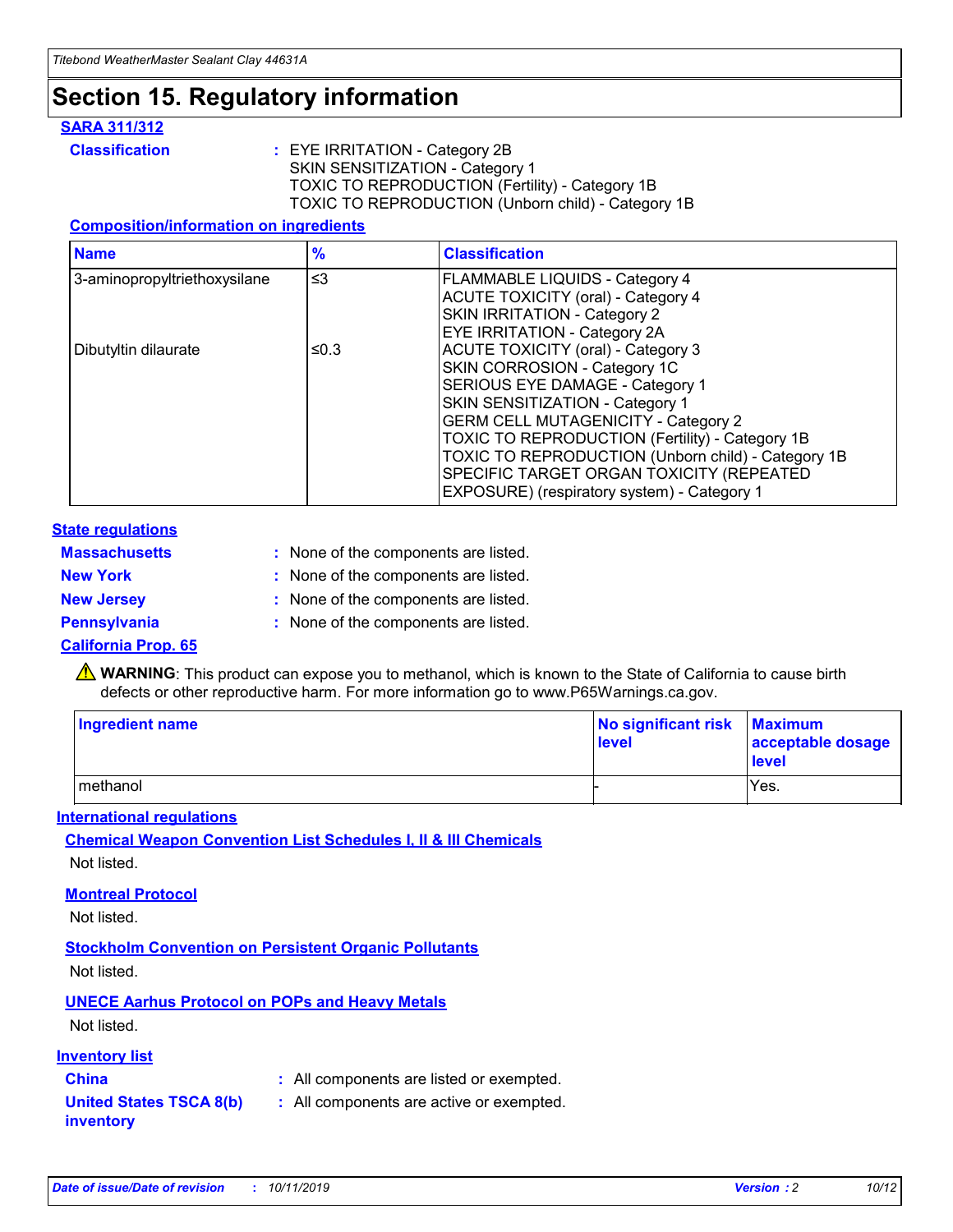## **Section 15. Regulatory information**

#### **SARA 311/312**

**Classification :** EYE IRRITATION - Category 2B SKIN SENSITIZATION - Category 1 TOXIC TO REPRODUCTION (Fertility) - Category 1B TOXIC TO REPRODUCTION (Unborn child) - Category 1B

#### **Composition/information on ingredients**

| <b>Name</b>                  | $\frac{9}{6}$ | <b>Classification</b>                                                                                                                                                                                                                                                                   |
|------------------------------|---------------|-----------------------------------------------------------------------------------------------------------------------------------------------------------------------------------------------------------------------------------------------------------------------------------------|
| 3-aminopropyltriethoxysilane | ≤3            | FLAMMABLE LIQUIDS - Category 4<br><b>ACUTE TOXICITY (oral) - Category 4</b><br>SKIN IRRITATION - Category 2                                                                                                                                                                             |
| Dibutyltin dilaurate         | ≤0.3          | <b>EYE IRRITATION - Category 2A</b><br>ACUTE TOXICITY (oral) - Category 3<br>SKIN CORROSION - Category 1C<br>SERIOUS EYE DAMAGE - Category 1<br>SKIN SENSITIZATION - Category 1<br><b>GERM CELL MUTAGENICITY - Category 2</b><br><b>TOXIC TO REPRODUCTION (Fertility) - Category 1B</b> |
|                              |               | TOXIC TO REPRODUCTION (Unborn child) - Category 1B<br>SPECIFIC TARGET ORGAN TOXICITY (REPEATED<br>EXPOSURE) (respiratory system) - Category 1                                                                                                                                           |

#### **State regulations**

| <b>Massachusetts</b> | : None of the components are listed. |
|----------------------|--------------------------------------|
| <b>New York</b>      | : None of the components are listed. |
| <b>New Jersey</b>    | : None of the components are listed. |
| <b>Pennsylvania</b>  | : None of the components are listed. |

#### **California Prop. 65**

**A** WARNING: This product can expose you to methanol, which is known to the State of California to cause birth defects or other reproductive harm. For more information go to www.P65Warnings.ca.gov.

| <b>Ingredient name</b> | No significant risk Maximum<br>level | acceptable dosage<br>level |
|------------------------|--------------------------------------|----------------------------|
| methanol               |                                      | Yes.                       |

#### **International regulations**

**Chemical Weapon Convention List Schedules I, II & III Chemicals** Not listed.

#### **Montreal Protocol**

Not listed.

**Stockholm Convention on Persistent Organic Pollutants**

Not listed.

### **UNECE Aarhus Protocol on POPs and Heavy Metals**

Not listed.

#### **Inventory list**

### **China :** All components are listed or exempted.

**United States TSCA 8(b) inventory :** All components are active or exempted.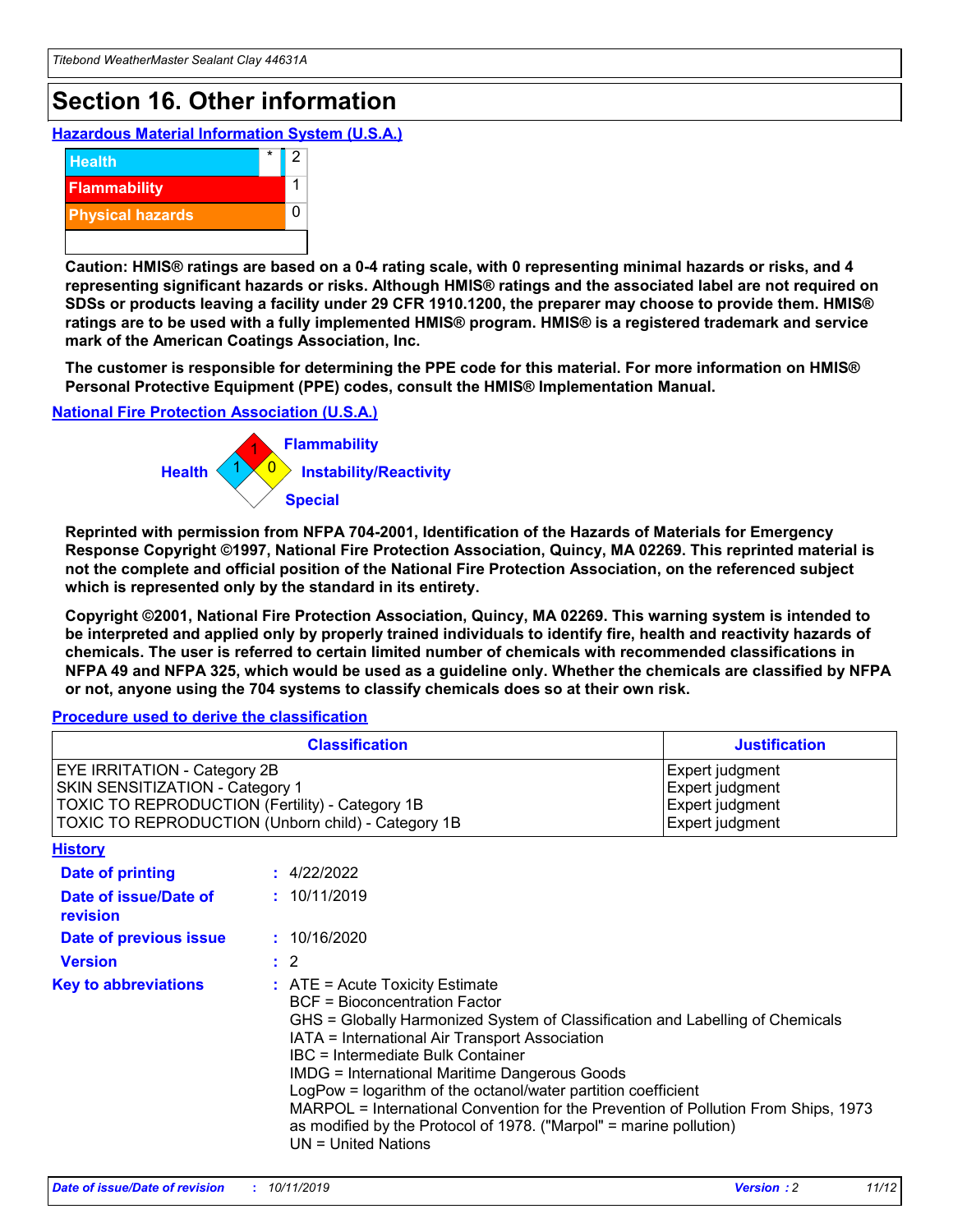# **Section 16. Other information**

**Hazardous Material Information System (U.S.A.)**



**Caution: HMIS® ratings are based on a 0-4 rating scale, with 0 representing minimal hazards or risks, and 4 representing significant hazards or risks. Although HMIS® ratings and the associated label are not required on SDSs or products leaving a facility under 29 CFR 1910.1200, the preparer may choose to provide them. HMIS® ratings are to be used with a fully implemented HMIS® program. HMIS® is a registered trademark and service mark of the American Coatings Association, Inc.**

**The customer is responsible for determining the PPE code for this material. For more information on HMIS® Personal Protective Equipment (PPE) codes, consult the HMIS® Implementation Manual.**

#### **National Fire Protection Association (U.S.A.)**



**Reprinted with permission from NFPA 704-2001, Identification of the Hazards of Materials for Emergency Response Copyright ©1997, National Fire Protection Association, Quincy, MA 02269. This reprinted material is not the complete and official position of the National Fire Protection Association, on the referenced subject which is represented only by the standard in its entirety.**

**Copyright ©2001, National Fire Protection Association, Quincy, MA 02269. This warning system is intended to be interpreted and applied only by properly trained individuals to identify fire, health and reactivity hazards of chemicals. The user is referred to certain limited number of chemicals with recommended classifications in NFPA 49 and NFPA 325, which would be used as a guideline only. Whether the chemicals are classified by NFPA or not, anyone using the 704 systems to classify chemicals does so at their own risk.**

#### **Procedure used to derive the classification**

| <b>Classification</b>                                                                                                                                                                  |                                                                                                                                                                                                                                                                   | <b>Justification</b>                                                                                                                                                                                                                                                                                       |  |
|----------------------------------------------------------------------------------------------------------------------------------------------------------------------------------------|-------------------------------------------------------------------------------------------------------------------------------------------------------------------------------------------------------------------------------------------------------------------|------------------------------------------------------------------------------------------------------------------------------------------------------------------------------------------------------------------------------------------------------------------------------------------------------------|--|
| <b>EYE IRRITATION - Category 2B</b><br>SKIN SENSITIZATION - Category 1<br><b>TOXIC TO REPRODUCTION (Fertility) - Category 1B</b><br>TOXIC TO REPRODUCTION (Unborn child) - Category 1B |                                                                                                                                                                                                                                                                   | Expert judgment<br>Expert judgment<br>Expert judgment<br>Expert judgment                                                                                                                                                                                                                                   |  |
| <b>History</b>                                                                                                                                                                         |                                                                                                                                                                                                                                                                   |                                                                                                                                                                                                                                                                                                            |  |
| <b>Date of printing</b>                                                                                                                                                                | : 4/22/2022                                                                                                                                                                                                                                                       |                                                                                                                                                                                                                                                                                                            |  |
| Date of issue/Date of<br>revision                                                                                                                                                      | : 10/11/2019                                                                                                                                                                                                                                                      |                                                                                                                                                                                                                                                                                                            |  |
| Date of previous issue                                                                                                                                                                 | : 10/16/2020                                                                                                                                                                                                                                                      |                                                                                                                                                                                                                                                                                                            |  |
| <b>Version</b>                                                                                                                                                                         | $\therefore$ 2                                                                                                                                                                                                                                                    |                                                                                                                                                                                                                                                                                                            |  |
| <b>Key to abbreviations</b>                                                                                                                                                            | $\therefore$ ATE = Acute Toxicity Estimate<br><b>BCF</b> = Bioconcentration Factor<br>IATA = International Air Transport Association<br><b>IBC</b> = Intermediate Bulk Container<br><b>IMDG = International Maritime Dangerous Goods</b><br>$UN = United Nations$ | GHS = Globally Harmonized System of Classification and Labelling of Chemicals<br>LogPow = logarithm of the octanol/water partition coefficient<br>MARPOL = International Convention for the Prevention of Pollution From Ships, 1973<br>as modified by the Protocol of 1978. ("Marpol" = marine pollution) |  |